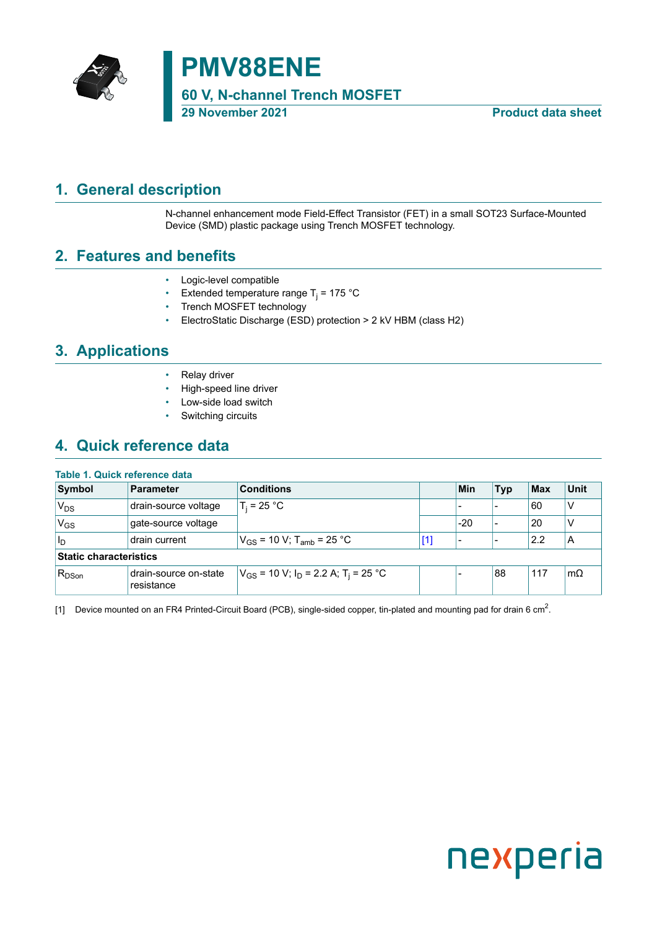

# **PMV88ENE**

**60 V, N-channel Trench MOSFET**

**Product data sheet** 

### <span id="page-0-1"></span>**1. General description**

<span id="page-0-0"></span>N-channel enhancement mode Field-Effect Transistor (FET) in a small SOT23 Surface-Mounted Device (SMD) plastic package using Trench MOSFET technology.

### <span id="page-0-2"></span>**2. Features and benefits**

- Logic-level compatible
- Extended temperature range T<sub>j</sub> = 175 °C
- Trench MOSFET technology
- ElectroStatic Discharge (ESD) protection > 2 kV HBM (class H2)

### <span id="page-0-3"></span>**3. Applications**

- Relay driver
- High-speed line driver
- Low-side load switch
- Switching circuits

### <span id="page-0-4"></span>**4. Quick reference data**

#### **Table 1. Quick reference data**

| Symbol                        | <b>Parameter</b>                    | <b>Conditions</b>                                                |       | Min   | <b>Typ</b> | <b>Max</b> | <b>Unit</b> |
|-------------------------------|-------------------------------------|------------------------------------------------------------------|-------|-------|------------|------------|-------------|
| 'V <sub>DS</sub>              | drain-source voltage                | $T_i = 25 °C$                                                    |       |       |            | 60         | ν           |
| 'V <sub>GS</sub>              | gate-source voltage                 |                                                                  |       | $-20$ |            | 20         | ν           |
| ll <sub>D</sub>               | drain current                       | $V_{GS}$ = 10 V; T <sub>amb</sub> = 25 °C                        | $[1]$ |       |            | 2.2        | ١A          |
| <b>Static characteristics</b> |                                     |                                                                  |       |       |            |            |             |
| $R_{DSon}$                    | drain-source on-state<br>resistance | $ V_{GS}$ = 10 V; I <sub>D</sub> = 2.2 A; T <sub>i</sub> = 25 °C |       |       | 88         | 117        | $m\Omega$   |

[1]  $\,$  Device mounted on an FR4 Printed-Circuit Board (PCB), single-sided copper, tin-plated and mounting pad for drain 6 cm $^2$ .

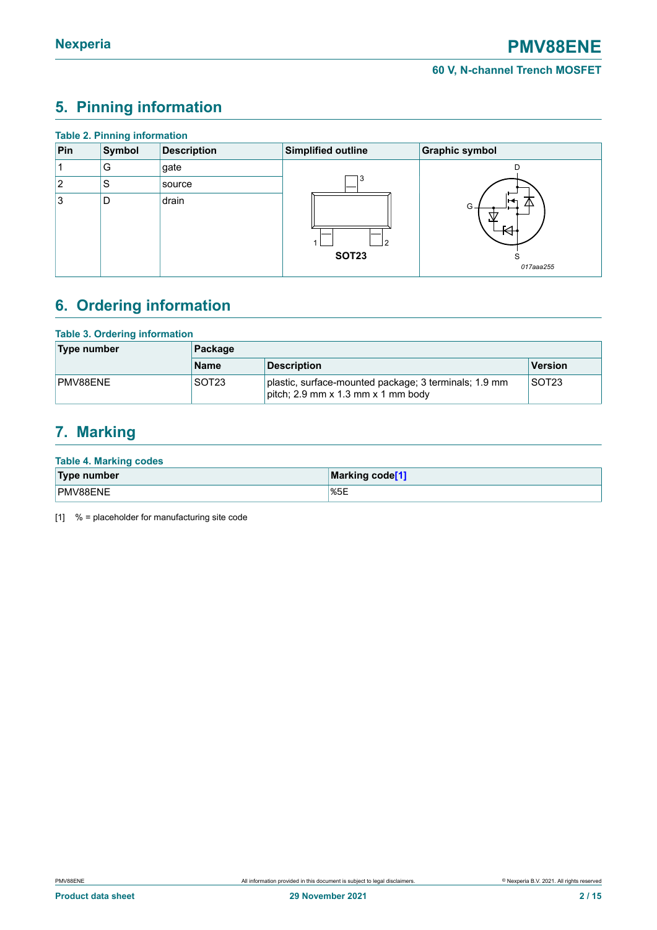### <span id="page-1-1"></span><span id="page-1-0"></span>**5. Pinning information**

| <b>Table 2. Pinning information</b> |        |                    |                    |                                |  |  |  |
|-------------------------------------|--------|--------------------|--------------------|--------------------------------|--|--|--|
| Pin                                 | Symbol | <b>Description</b> | Simplified outline | <b>Graphic symbol</b>          |  |  |  |
|                                     | G      | gate               |                    | D                              |  |  |  |
| 2                                   | .S     | source             | د.                 |                                |  |  |  |
| Ι3                                  | D      | drain              | 2<br><b>SOT23</b>  | ⊩⊷<br>△<br>G<br>S<br>017aaa255 |  |  |  |

### <span id="page-1-2"></span>**6. Ordering information**

#### **Table 3. Ordering information Type** number **Package Name Description Version** PMV88ENE SOT23 plastic, surface-mounted package; 3 terminals; 1.9 mm pitch;  $2.9$  mm x  $1.3$  mm x  $1$  mm body SOT23

### <span id="page-1-3"></span>**7. Marking**

### **Table 4. Marking codes**

| Type number     | Marking code <sup>[1]</sup> |
|-----------------|-----------------------------|
| <b>PMV88ENE</b> | 2E<br>てつし                   |

[1] % = placeholder for manufacturing site code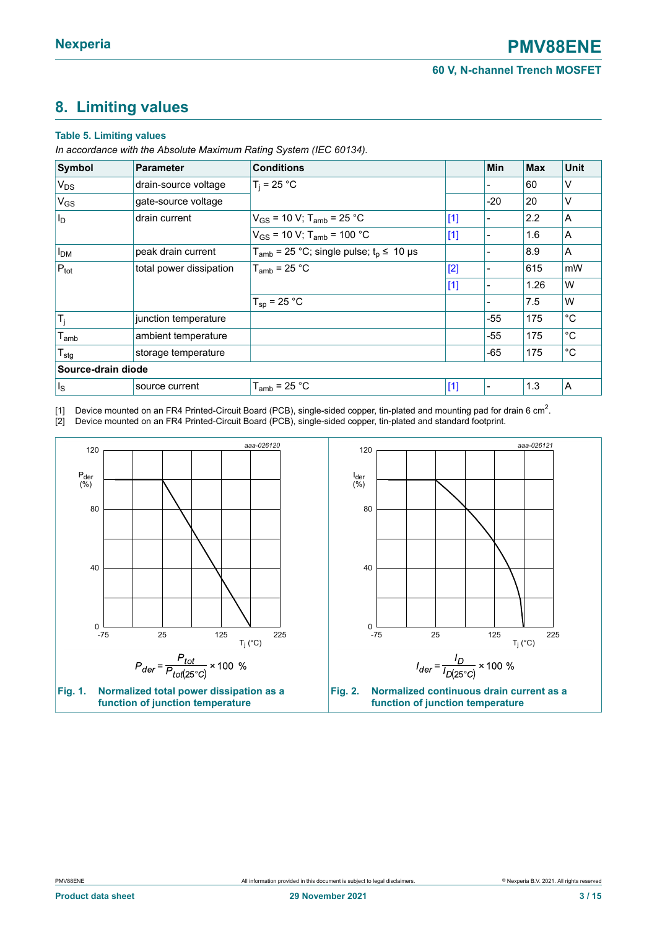### <span id="page-2-1"></span><span id="page-2-0"></span>**8. Limiting values**

#### **Table 5. Limiting values**

*In accordance with the Absolute Maximum Rating System (IEC 60134).*

| Symbol                | <b>Parameter</b>        | <b>Conditions</b>                                |       | <b>Min</b>     | <b>Max</b> | <b>Unit</b>  |
|-----------------------|-------------------------|--------------------------------------------------|-------|----------------|------------|--------------|
| $V_{DS}$              | drain-source voltage    | $T_i = 25 °C$                                    |       |                | 60         | V            |
| <b>V<sub>GS</sub></b> | gate-source voltage     |                                                  |       | $-20$          | 20         | ٧            |
| $ I_{\mathsf{D}} $    | drain current           | $V_{GS}$ = 10 V; T <sub>amb</sub> = 25 °C        | $[1]$ |                | 2.2        | A            |
|                       |                         | $V_{GS}$ = 10 V; T <sub>amb</sub> = 100 °C       | $[1]$ | $\blacksquare$ | 1.6        | A            |
| I <sub>DM</sub>       | peak drain current      | $T_{amb}$ = 25 °C; single pulse; $t_p \le 10$ µs |       |                | 8.9        | A            |
| $P_{\text{tot}}$      | total power dissipation | $T_{amb}$ = 25 °C                                | [2]   |                | 615        | mW           |
|                       |                         |                                                  | $[1]$ |                | 1.26       | W            |
|                       |                         | $T_{sp}$ = 25 °C                                 |       |                | 7.5        | W            |
| $T_j$                 | junction temperature    |                                                  |       | $-55$          | 175        | °C           |
| $T_{amb}$             | ambient temperature     |                                                  |       | $-55$          | 175        | $^{\circ}$ C |
| $T_{\text{stg}}$      | storage temperature     |                                                  |       | $-65$          | 175        | $^{\circ}$ C |
| Source-drain diode    |                         |                                                  |       |                |            |              |
| $\vert$ <sub>s</sub>  | source current          | $T_{amb}$ = 25 °C                                | $[1]$ | $\blacksquare$ | 1.3        | A            |

[1]  $\,$  Device mounted on an FR4 Printed-Circuit Board (PCB), single-sided copper, tin-plated and mounting pad for drain 6 cm $^2$ . [2] Device mounted on an FR4 Printed-Circuit Board (PCB), single-sided copper, tin-plated and standard footprint.

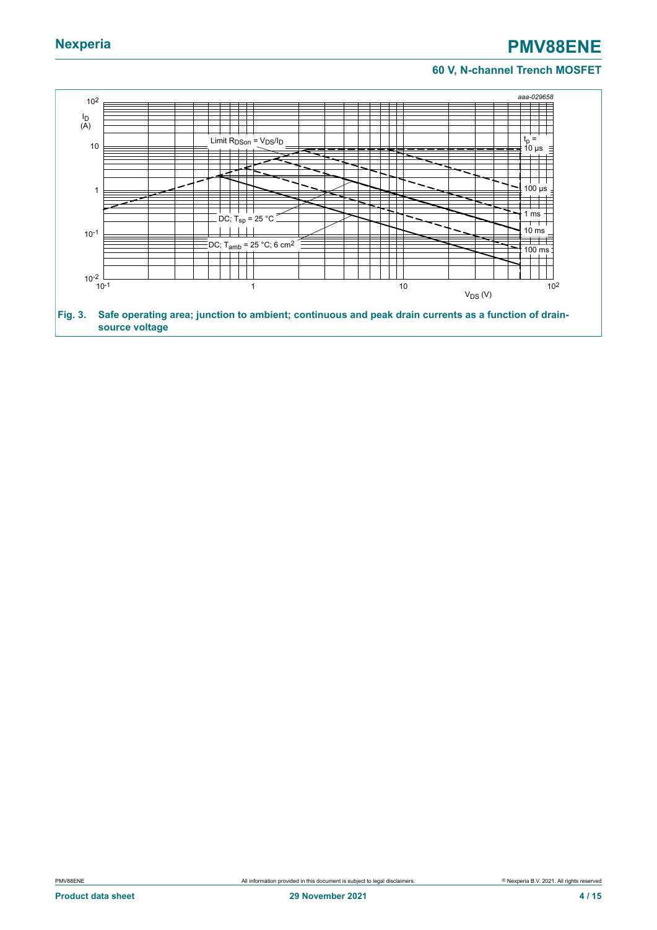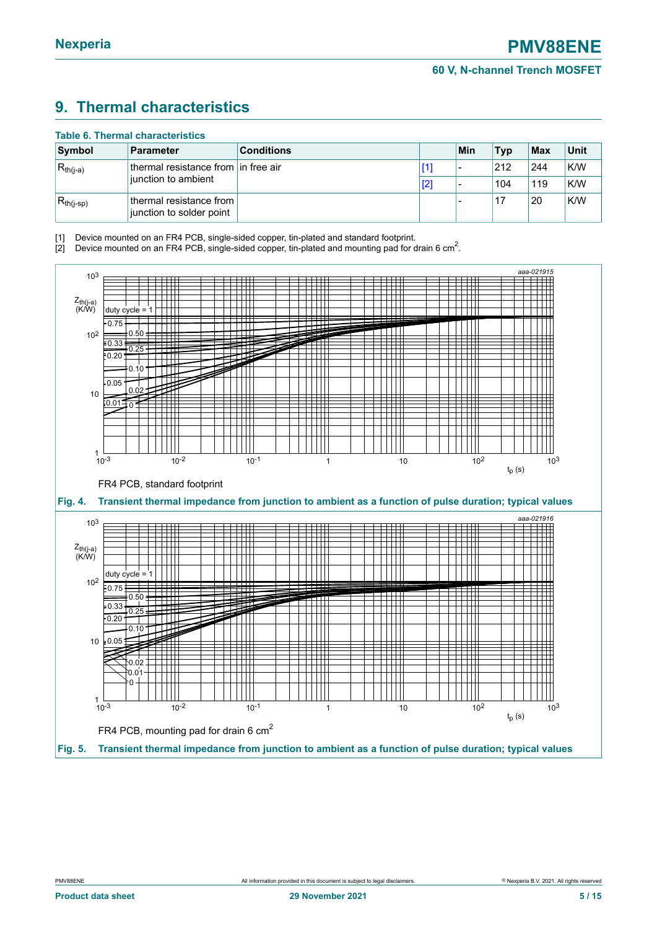### <span id="page-4-1"></span><span id="page-4-0"></span>**9. Thermal characteristics**

#### **Table 6. Thermal characteristics Symbol Parameter Conditions Min Typ Max Unit** Rth(j-a) thermal resistance from [\[1\]](#page-4-0) - 212 244 K/W junction to ambient in free air [\[2\]](#page-4-0) - 104 119 K/W  $R_{th(i-sp)}$  thermal resistance from junction to solder point 17  $|20|$  K/W

[1] Device mounted on an FR4 PCB, single-sided copper, tin-plated and standard footprint.

[2] Device mounted on an FR4 PCB, single-sided copper, tin-plated and mounting pad for drain 6 cm<sup>2</sup>.

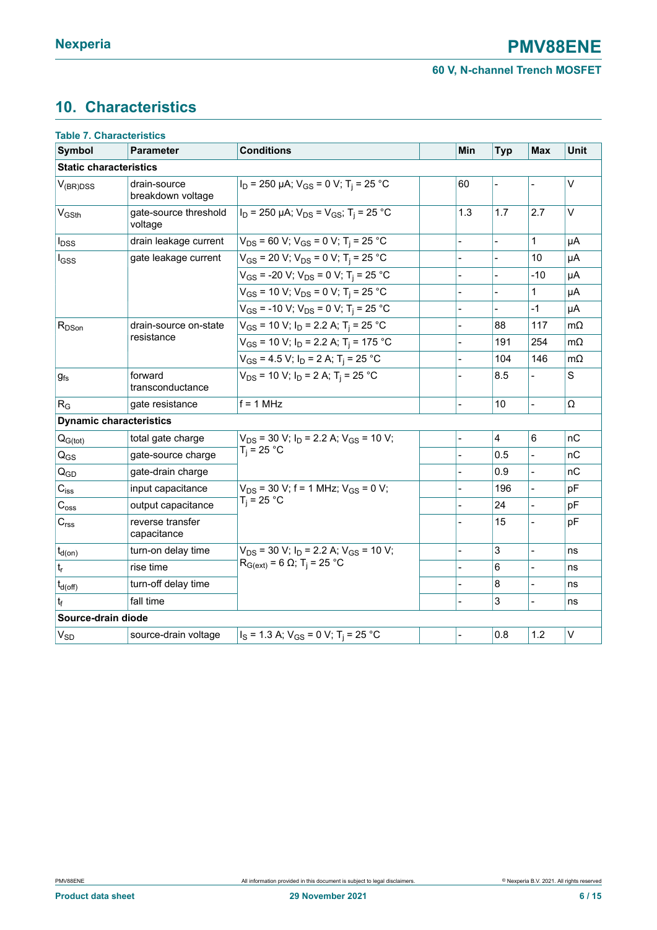# <span id="page-5-0"></span>**10. Characteristics**

| <b>Table 7. Characteristics</b> |                                   |                                                                |                |                |                |             |
|---------------------------------|-----------------------------------|----------------------------------------------------------------|----------------|----------------|----------------|-------------|
| Symbol                          | <b>Parameter</b>                  | <b>Conditions</b>                                              | Min            | <b>Typ</b>     | <b>Max</b>     | <b>Unit</b> |
| <b>Static characteristics</b>   |                                   |                                                                |                |                |                |             |
| $V_{(BR)DSS}$                   | drain-source<br>breakdown voltage | $I_D$ = 250 µA; $V_{GS}$ = 0 V; T <sub>i</sub> = 25 °C         | 60             |                |                | $\vee$      |
| $V_{\text{GSth}}$               | gate-source threshold<br>voltage  | $I_D$ = 250 µA; $V_{DS}$ = $V_{GS}$ ; T <sub>i</sub> = 25 °C   | 1.3            | 1.7            | 2.7            | V           |
| $I_{\text{DSS}}$                | drain leakage current             | $V_{DS}$ = 60 V; V <sub>GS</sub> = 0 V; T <sub>i</sub> = 25 °C |                |                | 1              | μA          |
| lgss                            | gate leakage current              | $V_{GS}$ = 20 V; $V_{DS}$ = 0 V; T <sub>i</sub> = 25 °C        |                |                | 10             | μA          |
|                                 |                                   | $V_{GS}$ = -20 V; $V_{DS}$ = 0 V; T <sub>i</sub> = 25 °C       |                |                | $-10$          | μA          |
|                                 |                                   | $V_{GS}$ = 10 V; $V_{DS}$ = 0 V; T <sub>i</sub> = 25 °C        |                |                | 1              | μA          |
|                                 |                                   | $V_{GS}$ = -10 V; $V_{DS}$ = 0 V; T <sub>i</sub> = 25 °C       |                |                | $-1$           | μA          |
| $R_{DSon}$                      | drain-source on-state             | $V_{GS}$ = 10 V; $I_D$ = 2.2 A; T <sub>i</sub> = 25 °C         |                | 88             | 117            | $m\Omega$   |
|                                 | resistance                        | $V_{GS}$ = 10 V; $I_D$ = 2.2 A; T <sub>i</sub> = 175 °C        |                | 191            | 254            | $m\Omega$   |
|                                 |                                   | $V_{GS}$ = 4.5 V; $I_D$ = 2 A; T <sub>i</sub> = 25 °C          |                | 104            | 146            | $m\Omega$   |
| $g_{fs}$                        | forward<br>transconductance       | $V_{DS}$ = 10 V; $I_D$ = 2 A; T <sub>i</sub> = 25 °C           |                | 8.5            |                | S           |
| $R_G$                           | gate resistance                   | $f = 1$ MHz                                                    | $\blacksquare$ | 10             | $\overline{a}$ | Ω           |
|                                 | <b>Dynamic characteristics</b>    |                                                                |                |                |                |             |
| $Q_{G(tot)}$                    | total gate charge                 | $V_{DS}$ = 30 V; $I_D$ = 2.2 A; $V_{GS}$ = 10 V;               |                | $\overline{4}$ | 6              | nС          |
| $Q_{GS}$                        | gate-source charge                | $T_i = 25 °C$                                                  |                | 0.5            |                | nC          |
| $Q_{GD}$                        | gate-drain charge                 |                                                                |                | 0.9            |                | nС          |
| C <sub>iss</sub>                | input capacitance                 | $V_{DS}$ = 30 V; f = 1 MHz; $V_{GS}$ = 0 V;                    |                | 196            |                | pF          |
| $\mathsf{C}_{\text{oss}}$       | output capacitance                | $T_i = 25 °C$                                                  |                | 24             |                | pF          |
| C <sub>rss</sub>                | reverse transfer<br>capacitance   |                                                                |                | 15             |                | pF          |
| $t_{d(on)}$                     | turn-on delay time                | $V_{DS}$ = 30 V; $I_D$ = 2.2 A; $V_{GS}$ = 10 V;               |                | 3              | $\overline{a}$ | ns          |
| $t_{\sf r}$                     | rise time                         | $R_{G(ext)} = 6 \Omega$ ; T <sub>i</sub> = 25 °C               |                | 6              |                | ns          |
| $t_{d(\text{off})}$             | turn-off delay time               |                                                                |                | 8              |                | ns          |
| $t_{\rm f}$                     | fall time                         |                                                                | $\overline{a}$ | 3              | $\overline{a}$ | ns          |
| Source-drain diode              |                                   |                                                                |                |                |                |             |
| V <sub>SD</sub>                 | source-drain voltage              | $I_S$ = 1.3 A; $V_{GS}$ = 0 V; T <sub>i</sub> = 25 °C          |                | 0.8            | 1.2            | V           |
|                                 |                                   |                                                                |                |                |                |             |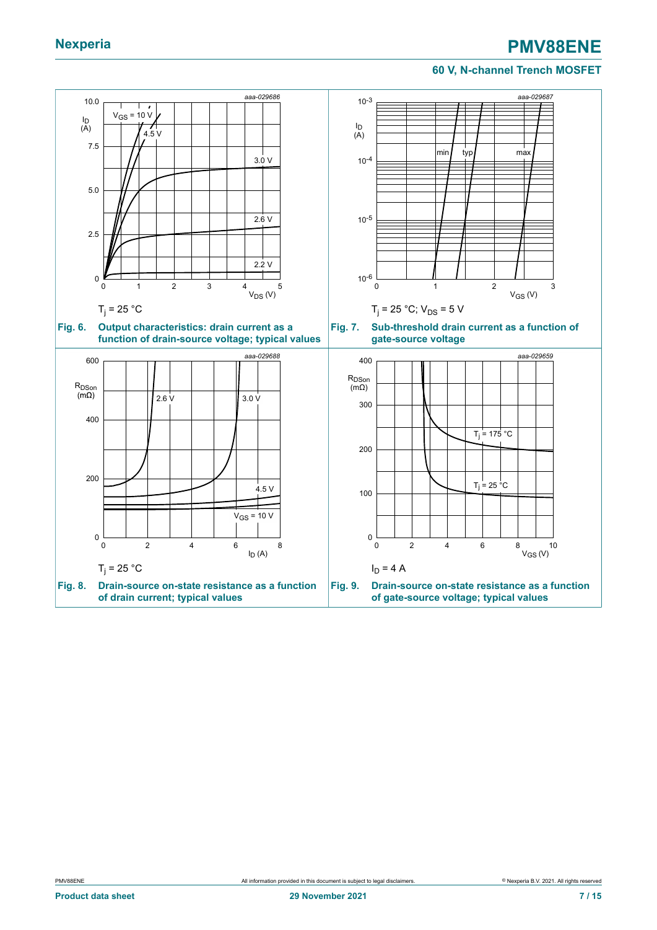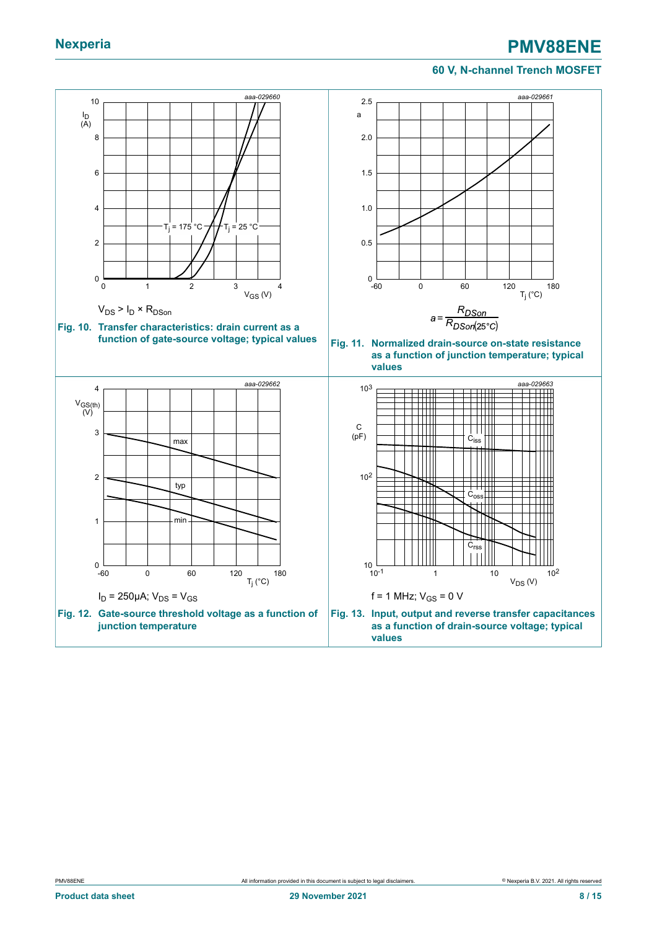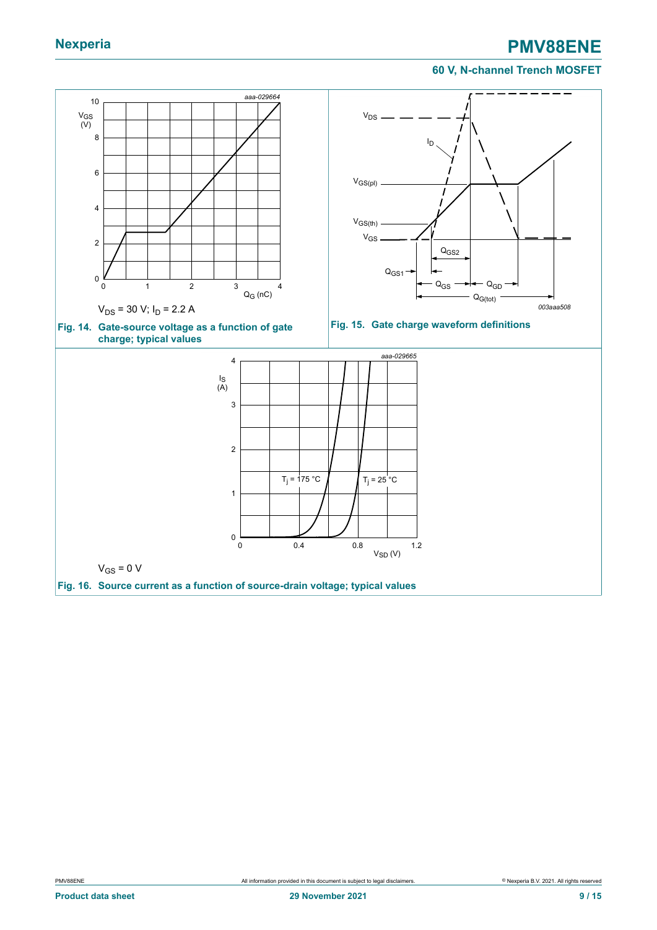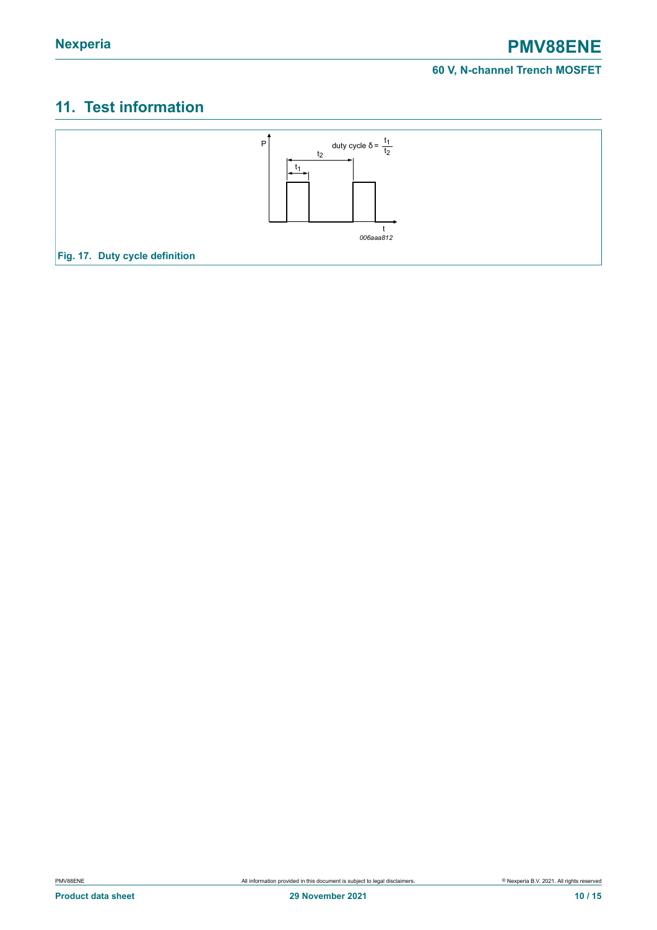# <span id="page-9-0"></span>**11. Test information**

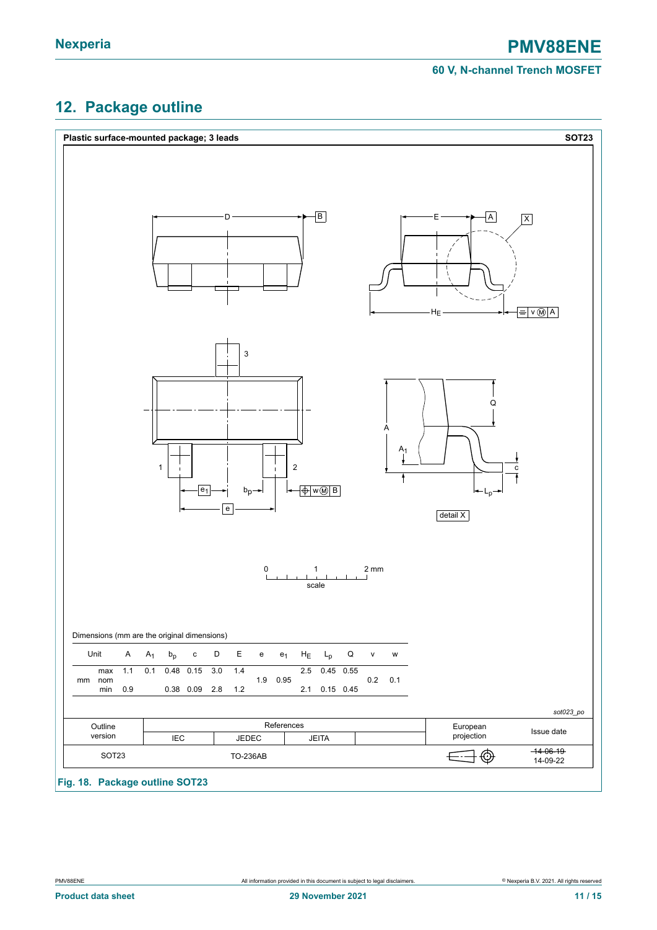# <span id="page-10-0"></span>**12. Package outline**

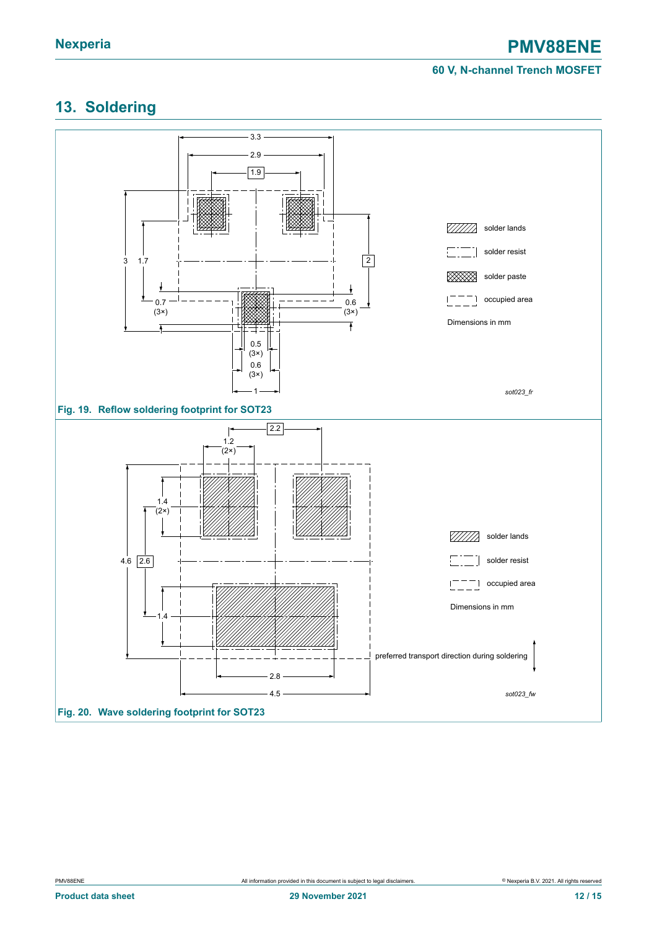# <span id="page-11-0"></span>**13. Soldering**

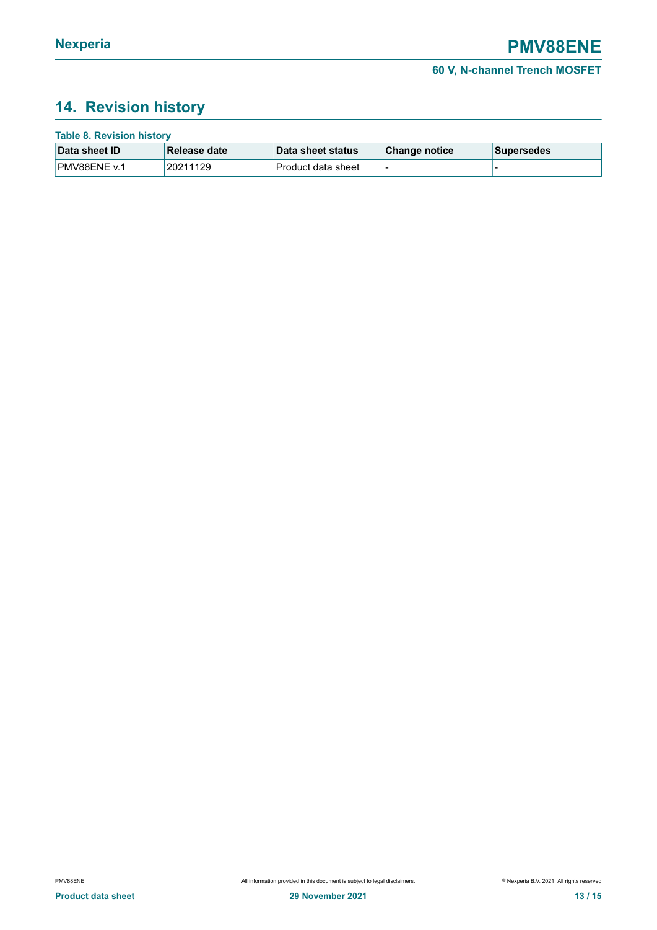# <span id="page-12-0"></span>**14. Revision history**

| <b>Table 8. Revision history</b> |               |                      |               |             |  |  |
|----------------------------------|---------------|----------------------|---------------|-------------|--|--|
| Data sheet ID                    | ∣Release date | ⊺Data sheet status   | Change notice | ∣Supersedes |  |  |
| <b>PMV88ENE v.1</b>              | 20211129      | l Product data sheet |               |             |  |  |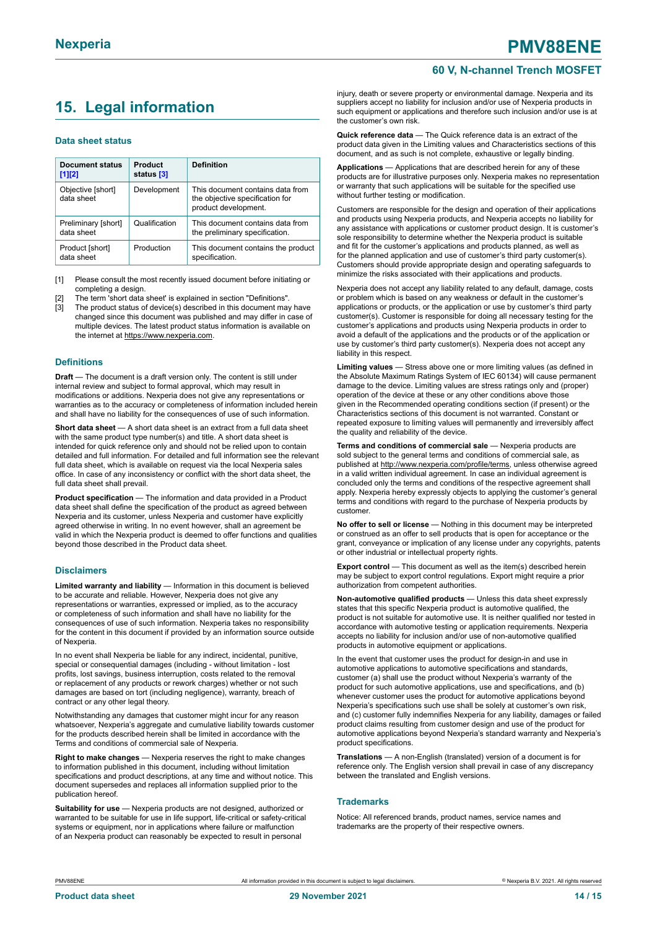# <span id="page-13-0"></span>**15. Legal information**

#### **Data sheet status**

| Document status<br>$[1]$ [2]      | <b>Product</b><br>status [3] | <b>Definition</b>                                                                           |
|-----------------------------------|------------------------------|---------------------------------------------------------------------------------------------|
| Objective [short]<br>data sheet   | Development                  | This document contains data from<br>the objective specification for<br>product development. |
| Preliminary [short]<br>data sheet | Qualification                | This document contains data from<br>the preliminary specification.                          |
| Product [short]<br>data sheet     | Production                   | This document contains the product<br>specification.                                        |

[1] Please consult the most recently issued document before initiating or completing a design.

The term 'short data sheet' is explained in section "Definitions".

[3] The product status of device(s) described in this document may have changed since this document was published and may differ in case of multiple devices. The latest product status information is available on the internet at [https://www.nexperia.com.](https://www.nexperia.com)

#### **Definitions**

**Draft** — The document is a draft version only. The content is still under internal review and subject to formal approval, which may result in modifications or additions. Nexperia does not give any representations or warranties as to the accuracy or completeness of information included herein and shall have no liability for the consequences of use of such information.

**Short data sheet** — A short data sheet is an extract from a full data sheet with the same product type number(s) and title. A short data sheet is intended for quick reference only and should not be relied upon to contain detailed and full information. For detailed and full information see the relevant full data sheet, which is available on request via the local Nexperia sales office. In case of any inconsistency or conflict with the short data sheet, the full data sheet shall prevail.

**Product specification** — The information and data provided in a Product data sheet shall define the specification of the product as agreed between Nexperia and its customer, unless Nexperia and customer have explicitly agreed otherwise in writing. In no event however, shall an agreement be valid in which the Nexperia product is deemed to offer functions and qualities beyond those described in the Product data sheet.

#### **Disclaimers**

**Limited warranty and liability** — Information in this document is believed to be accurate and reliable. However, Nexperia does not give any representations or warranties, expressed or implied, as to the accuracy or completeness of such information and shall have no liability for the consequences of use of such information. Nexperia takes no responsibility for the content in this document if provided by an information source outside of Nexperia.

In no event shall Nexperia be liable for any indirect, incidental, punitive, special or consequential damages (including - without limitation - lost profits, lost savings, business interruption, costs related to the removal or replacement of any products or rework charges) whether or not such damages are based on tort (including negligence), warranty, breach of contract or any other legal theory.

Notwithstanding any damages that customer might incur for any reason whatsoever, Nexperia's aggregate and cumulative liability towards customer for the products described herein shall be limited in accordance with the Terms and conditions of commercial sale of Nexperia.

**Right to make changes** — Nexperia reserves the right to make changes to information published in this document, including without limitation specifications and product descriptions, at any time and without notice. This document supersedes and replaces all information supplied prior to the publication hereof

**Suitability for use** — Nexperia products are not designed, authorized or warranted to be suitable for use in life support, life-critical or safety-critical systems or equipment, nor in applications where failure or malfunction of an Nexperia product can reasonably be expected to result in personal

injury, death or severe property or environmental damage. Nexperia and its suppliers accept no liability for inclusion and/or use of Nexperia products in such equipment or applications and therefore such inclusion and/or use is at the customer's own risk.

**Quick reference data** — The Quick reference data is an extract of the product data given in the Limiting values and Characteristics sections of this document, and as such is not complete, exhaustive or legally binding.

**Applications** — Applications that are described herein for any of these products are for illustrative purposes only. Nexperia makes no representation or warranty that such applications will be suitable for the specified use without further testing or modification.

Customers are responsible for the design and operation of their applications and products using Nexperia products, and Nexperia accepts no liability for any assistance with applications or customer product design. It is customer's sole responsibility to determine whether the Nexperia product is suitable and fit for the customer's applications and products planned, as well as for the planned application and use of customer's third party customer(s). Customers should provide appropriate design and operating safeguards to minimize the risks associated with their applications and products.

Nexperia does not accept any liability related to any default, damage, costs or problem which is based on any weakness or default in the customer's applications or products, or the application or use by customer's third party customer(s). Customer is responsible for doing all necessary testing for the customer's applications and products using Nexperia products in order to avoid a default of the applications and the products or of the application or use by customer's third party customer(s). Nexperia does not accept any liability in this respect.

**Limiting values** — Stress above one or more limiting values (as defined in the Absolute Maximum Ratings System of IEC 60134) will cause permanent damage to the device. Limiting values are stress ratings only and (proper) operation of the device at these or any other conditions above those given in the Recommended operating conditions section (if present) or the Characteristics sections of this document is not warranted. Constant or repeated exposure to limiting values will permanently and irreversibly affect the quality and reliability of the device.

**Terms and conditions of commercial sale** — Nexperia products are sold subject to the general terms and conditions of commercial sale, as published at [http://www.nexperia.com/profile/terms,](http://www.nexperia.com/profile/terms) unless otherwise agreed in a valid written individual agreement. In case an individual agreement is concluded only the terms and conditions of the respective agreement shall apply. Nexperia hereby expressly objects to applying the customer's general terms and conditions with regard to the purchase of Nexperia products by customer.

**No offer to sell or license** — Nothing in this document may be interpreted or construed as an offer to sell products that is open for acceptance or the grant, conveyance or implication of any license under any copyrights, patents or other industrial or intellectual property rights.

**Export control** — This document as well as the item(s) described herein may be subject to export control regulations. Export might require a prior authorization from competent authorities.

**Non-automotive qualified products** — Unless this data sheet expressly states that this specific Nexperia product is automotive qualified, the product is not suitable for automotive use. It is neither qualified nor tested in accordance with automotive testing or application requirements. Nexperia accepts no liability for inclusion and/or use of non-automotive qualified products in automotive equipment or applications.

In the event that customer uses the product for design-in and use in automotive applications to automotive specifications and standards, customer (a) shall use the product without Nexperia's warranty of the product for such automotive applications, use and specifications, and (b) whenever customer uses the product for automotive applications beyond Nexperia's specifications such use shall be solely at customer's own risk, and (c) customer fully indemnifies Nexperia for any liability, damages or failed product claims resulting from customer design and use of the product for automotive applications beyond Nexperia's standard warranty and Nexperia's product specifications.

**Translations** — A non-English (translated) version of a document is for reference only. The English version shall prevail in case of any discrepancy between the translated and English versions.

#### **Trademarks**

Notice: All referenced brands, product names, service names and trademarks are the property of their respective owners.